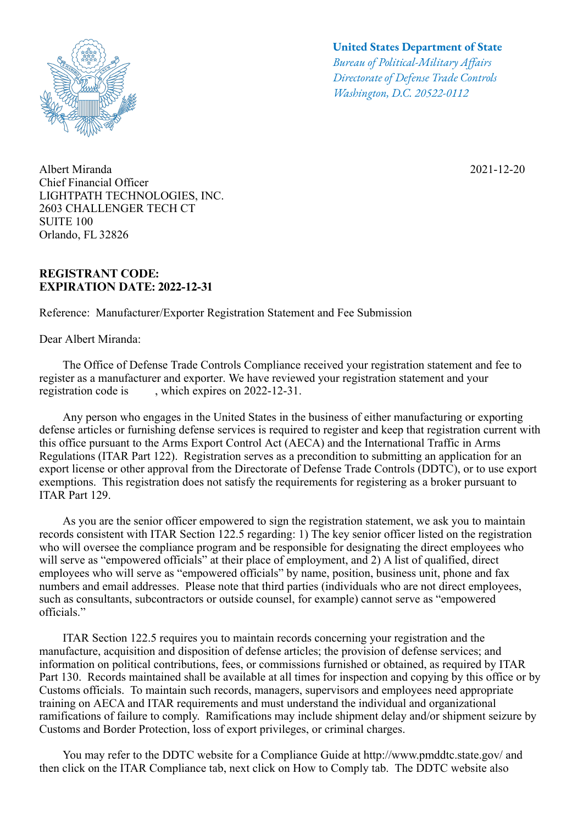

Albert Miranda 2021-12-20 Chief Financial Officer LIGHTPATH TECHNOLOGIES, INC. 2603 CHALLENGER TECH CT SUITE 100 Orlando, FL 32826

## **REGISTRANT CODE: EXPIRATION DATE: 2022-12-31**

Reference: Manufacturer/Exporter Registration Statement and Fee Submission

Dear Albert Miranda:

## **United States Department of State**

*Bureau of Political-Military Afairs Directorate of Defense Trade Controls Washington, D.C. 20522-0112*

 The Office of Defense Trade Controls Compliance received your registration statement and fee to register as a manufacturer and exporter. We have reviewed your registration statement and your registration code is , which expires on 2022-12-31.

 Any person who engages in the United States in the business of either manufacturing or exporting defense articles or furnishing defense services is required to register and keep that registration current with this office pursuant to the Arms Export Control Act (AECA) and the International Traffic in Arms Regulations (ITAR Part 122). Registration serves as a precondition to submitting an application for an export license or other approval from the Directorate of Defense Trade Controls (DDTC), or to use export exemptions. This registration does not satisfy the requirements for registering as a broker pursuant to ITAR Part 129.

 As you are the senior officer empowered to sign the registration statement, we ask you to maintain records consistent with ITAR Section 122.5 regarding: 1) The key senior officer listed on the registration who will oversee the compliance program and be responsible for designating the direct employees who will serve as "empowered officials" at their place of employment, and 2) A list of qualified, direct employees who will serve as "empowered officials" by name, position, business unit, phone and fax numbers and email addresses. Please note that third parties (individuals who are not direct employees, such as consultants, subcontractors or outside counsel, for example) cannot serve as "empowered officials."

 ITAR Section 122.5 requires you to maintain records concerning your registration and the manufacture, acquisition and disposition of defense articles; the provision of defense services; and information on political contributions, fees, or commissions furnished or obtained, as required by ITAR Part 130. Records maintained shall be available at all times for inspection and copying by this office or by Customs officials. To maintain such records, managers, supervisors and employees need appropriate training on AECA and ITAR requirements and must understand the individual and organizational ramifications of failure to comply. Ramifications may include shipment delay and/or shipment seizure by Customs and Border Protection, loss of export privileges, or criminal charges.

 You may refer to the DDTC website for a Compliance Guide at http://www.pmddtc.state.gov/ and then click on the ITAR Compliance tab, next click on How to Comply tab. The DDTC website also